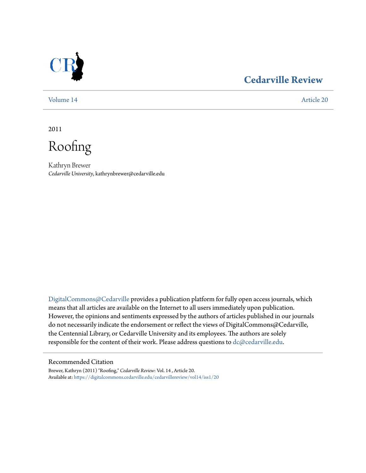

# **[Cedarville Review](https://digitalcommons.cedarville.edu/cedarvillereview?utm_source=digitalcommons.cedarville.edu%2Fcedarvillereview%2Fvol14%2Fiss1%2F20&utm_medium=PDF&utm_campaign=PDFCoverPages)**

[Volume 14](https://digitalcommons.cedarville.edu/cedarvillereview/vol14?utm_source=digitalcommons.cedarville.edu%2Fcedarvillereview%2Fvol14%2Fiss1%2F20&utm_medium=PDF&utm_campaign=PDFCoverPages) [Article 20](https://digitalcommons.cedarville.edu/cedarvillereview/vol14/iss1/20?utm_source=digitalcommons.cedarville.edu%2Fcedarvillereview%2Fvol14%2Fiss1%2F20&utm_medium=PDF&utm_campaign=PDFCoverPages)

2011

Roofing

Kathryn Brewer *Cedarville University*, kathrynbrewer@cedarville.edu

[DigitalCommons@Cedarville](http://digitalcommons.cedarville.edu) provides a publication platform for fully open access journals, which means that all articles are available on the Internet to all users immediately upon publication. However, the opinions and sentiments expressed by the authors of articles published in our journals do not necessarily indicate the endorsement or reflect the views of DigitalCommons@Cedarville, the Centennial Library, or Cedarville University and its employees. The authors are solely responsible for the content of their work. Please address questions to [dc@cedarville.edu](mailto:dc@cedarville.edu).

#### Recommended Citation

Brewer, Kathryn (2011) "Roofing," *Cedarville Review*: Vol. 14 , Article 20. Available at: [https://digitalcommons.cedarville.edu/cedarvillereview/vol14/iss1/20](https://digitalcommons.cedarville.edu/cedarvillereview/vol14/iss1/20?utm_source=digitalcommons.cedarville.edu%2Fcedarvillereview%2Fvol14%2Fiss1%2F20&utm_medium=PDF&utm_campaign=PDFCoverPages)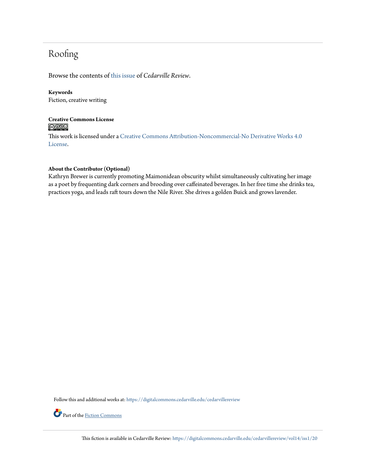# Roofing

Browse the contents of [this issue](https://digitalcommons.cedarville.edu/cedarvillereview/vol14/iss1) of *Cedarville Review*.

### **Keywords**

Fiction, creative writing

## **Creative Commons License**  $\bigcirc$   $\circ$

This work is licensed under a [Creative Commons Attribution-Noncommercial-No Derivative Works 4.0](http://creativecommons.org/licenses/by-nc-nd/4.0/) [License.](http://creativecommons.org/licenses/by-nc-nd/4.0/)

### **About the Contributor (Optional)**

Kathryn Brewer is currently promoting Maimonidean obscurity whilst simultaneously cultivating her image as a poet by frequenting dark corners and brooding over caffeinated beverages. In her free time she drinks tea, practices yoga, and leads raft tours down the Nile River. She drives a golden Buick and grows lavender.

Follow this and additional works at: [https://digitalcommons.cedarville.edu/cedarvillereview](https://digitalcommons.cedarville.edu/cedarvillereview?utm_source=digitalcommons.cedarville.edu%2Fcedarvillereview%2Fvol14%2Fiss1%2F20&utm_medium=PDF&utm_campaign=PDFCoverPages)



Part of the [Fiction Commons](http://network.bepress.com/hgg/discipline/1151?utm_source=digitalcommons.cedarville.edu%2Fcedarvillereview%2Fvol14%2Fiss1%2F20&utm_medium=PDF&utm_campaign=PDFCoverPages)

This fiction is available in Cedarville Review: [https://digitalcommons.cedarville.edu/cedarvillereview/vol14/iss1/20](https://digitalcommons.cedarville.edu/cedarvillereview/vol14/iss1/20?utm_source=digitalcommons.cedarville.edu%2Fcedarvillereview%2Fvol14%2Fiss1%2F20&utm_medium=PDF&utm_campaign=PDFCoverPages)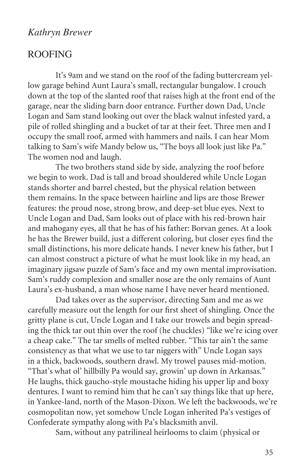## *Kathryn Brewer*

## ROOFING

It's 9am and we stand on the roof of the fading buttercream yellow garage behind Aunt Laura's small, rectangular bungalow. I crouch down at the top of the slanted roof that raises high at the front end of the garage, near the sliding barn door entrance. Further down Dad, Uncle Logan and Sam stand looking out over the black walnut infested yard, a pile of rolled shingling and a bucket of tar at their feet. Three men and I occupy the small roof, armed with hammers and nails. I can hear Mom talking to Sam's wife Mandy below us, "The boys all look just like Pa." The women nod and laugh.

The two brothers stand side by side, analyzing the roof before we begin to work. Dad is tall and broad shouldered while Uncle Logan stands shorter and barrel chested, but the physical relation between them remains. In the space between hairline and lips are those Brewer features: the proud nose, strong brow, and deep-set blue eyes. Next to Uncle Logan and Dad, Sam looks out of place with his red-brown hair and mahogany eyes, all that he has of his father: Borvan genes. At a look he has the Brewer build, just a different coloring, but closer eyes find the small distinctions, his more delicate hands. I never knew his father, but I can almost construct a picture of what he must look like in my head, an imaginary jigsaw puzzle of Sam's face and my own mental improvisation. Sam's ruddy complexion and smaller nose are the only remains of Aunt Laura's ex-husband, a man whose name I have never heard mentioned.

Dad takes over as the supervisor, directing Sam and me as we carefully measure out the length for our first sheet of shingling. Once the gritty plane is cut, Uncle Logan and I take our trowels and begin spreading the thick tar out thin over the roof (he chuckles) "like we're icing over a cheap cake." The tar smells of melted rubber. "This tar ain't the same consistency as that what we use to tar niggers with" Uncle Logan says in a thick, backwoods, southern drawl. My trowel pauses mid-motion. "That's what ol' hillbilly Pa would say, growin' up down in Arkansas." He laughs, thick gaucho-style moustache hiding his upper lip and boxy dentures. I want to remind him that he can't say things like that up here, in Yankee-land, north of the Mason-Dixon. We left the backwoods, we're cosmopolitan now, yet somehow Uncle Logan inherited Pa's vestiges of Confederate sympathy along with Pa's blacksmith anvil.

Sam, without any patrilineal heirlooms to claim (physical or